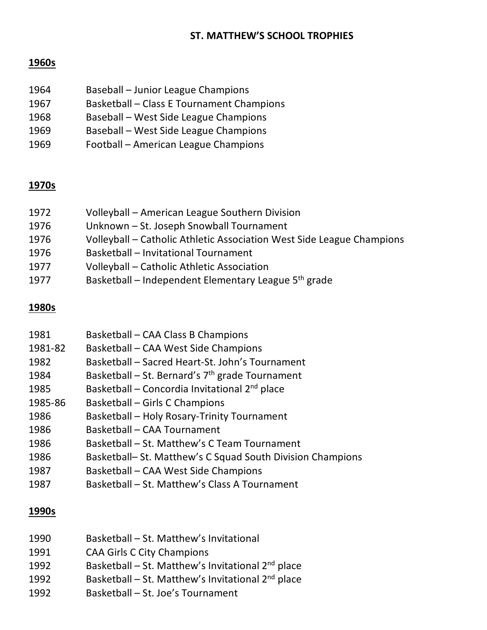### **ST. MATTHEW'S SCHOOL TROPHIES**

# **1960s**

| 1964 | Baseball - Junior League Champions               |
|------|--------------------------------------------------|
| 1967 | <b>Basketball - Class E Tournament Champions</b> |
| 1968 | Baseball - West Side League Champions            |
| 1969 | Baseball - West Side League Champions            |
| 1969 | Football - American League Champions             |

## **1970s**

| 1972 | Volleyball - American League Southern Division                        |
|------|-----------------------------------------------------------------------|
| 1976 | Unknown - St. Joseph Snowball Tournament                              |
| 1976 | Volleyball – Catholic Athletic Association West Side League Champions |
| 1976 | <b>Basketball - Invitational Tournament</b>                           |
| 1977 | Volleyball - Catholic Athletic Association                            |
| 1977 | Basketball – Independent Elementary League 5 <sup>th</sup> grade      |

### **1980s**

| 1981    | Basketball – CAA Class B Champions                         |
|---------|------------------------------------------------------------|
| 1981-82 | Basketball - CAA West Side Champions                       |
| 1982    | Basketball - Sacred Heart-St. John's Tournament            |
| 1984    | Basketball – St. Bernard's $7th$ grade Tournament          |
| 1985    | Basketball - Concordia Invitational 2 <sup>nd</sup> place  |
| 1985-86 | Basketball – Girls C Champions                             |
| 1986    | Basketball - Holy Rosary-Trinity Tournament                |
| 1986    | Basketball - CAA Tournament                                |
| 1986    | Basketball – St. Matthew's C Team Tournament               |
| 1986    | Basketball- St. Matthew's C Squad South Division Champions |
| 1987    | Basketball - CAA West Side Champions                       |
| 1987    | Basketball - St. Matthew's Class A Tournament              |

#### **1990s**

| 1990 | Basketball - St. Matthew's Invitational                       |
|------|---------------------------------------------------------------|
| 1991 | <b>CAA Girls C City Champions</b>                             |
| 1992 | Basketball - St. Matthew's Invitational 2 <sup>nd</sup> place |

- 1992 Basketball St. Matthew's Invitational 2nd place
- 1992 Basketball St. Joe's Tournament